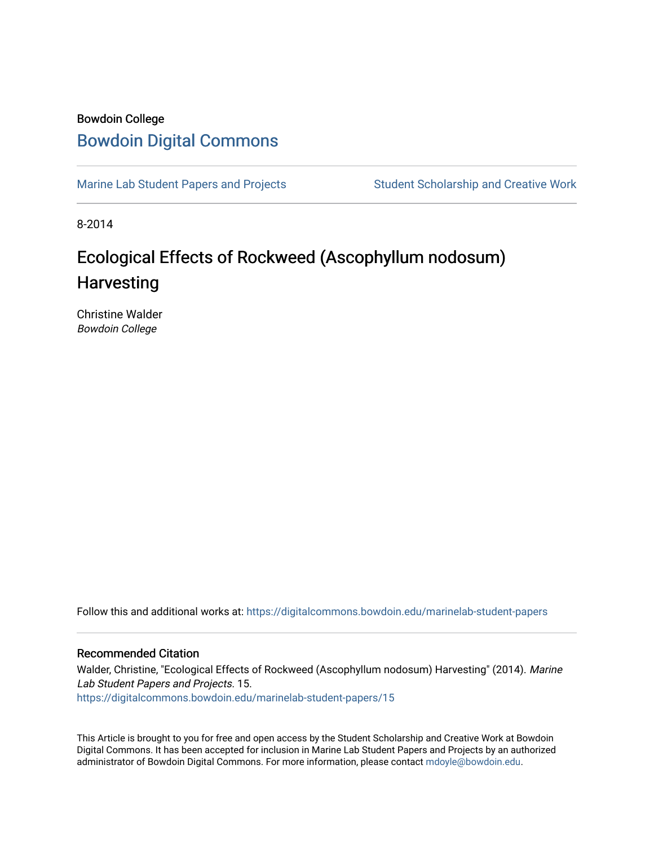# Bowdoin College [Bowdoin Digital Commons](https://digitalcommons.bowdoin.edu/)

[Marine Lab Student Papers and Projects](https://digitalcommons.bowdoin.edu/marinelab-student-papers) Student Scholarship and Creative Work

8-2014

# Ecological Effects of Rockweed (Ascophyllum nodosum) **Harvesting**

Christine Walder Bowdoin College

Follow this and additional works at: [https://digitalcommons.bowdoin.edu/marinelab-student-papers](https://digitalcommons.bowdoin.edu/marinelab-student-papers?utm_source=digitalcommons.bowdoin.edu%2Fmarinelab-student-papers%2F15&utm_medium=PDF&utm_campaign=PDFCoverPages) 

#### Recommended Citation

Walder, Christine, "Ecological Effects of Rockweed (Ascophyllum nodosum) Harvesting" (2014). Marine Lab Student Papers and Projects. 15. [https://digitalcommons.bowdoin.edu/marinelab-student-papers/15](https://digitalcommons.bowdoin.edu/marinelab-student-papers/15?utm_source=digitalcommons.bowdoin.edu%2Fmarinelab-student-papers%2F15&utm_medium=PDF&utm_campaign=PDFCoverPages) 

This Article is brought to you for free and open access by the Student Scholarship and Creative Work at Bowdoin Digital Commons. It has been accepted for inclusion in Marine Lab Student Papers and Projects by an authorized administrator of Bowdoin Digital Commons. For more information, please contact [mdoyle@bowdoin.edu.](mailto:mdoyle@bowdoin.edu)